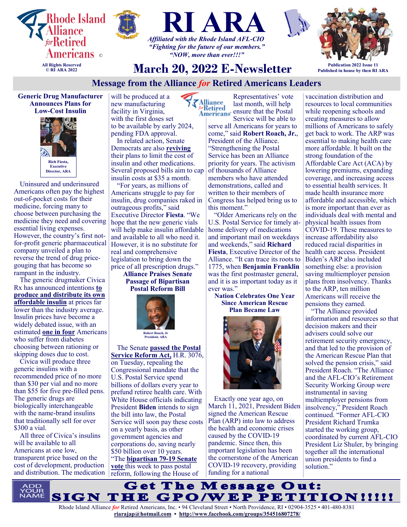





*"NOW, more than ever!!!"*

**March 20, 2022 E-Newsletter**

## **Publication 2022 Issue 11 Published in house by then RI ARA**

## **Message from the Alliance** *for* **Retired Americans Leaders**

**Generic Drug Manufacturer Announces Plans for Low-Cost Insulin** 



Uninsured and underinsured Americans often pay the highest out-of-pocket costs for their medicine, forcing many to choose between purchasing the medicine they need and covering essential living expenses. However, the country's first notfor-profit generic pharmaceutical company unveiled a plan to reverse the trend of drug pricegouging that has become so rampant in the industry.

The generic drugmaker Civica Rx has announced intentions **[to](https://nam12.safelinks.protection.outlook.com/?url=https%3A%2F%2Fu1584542.ct.sendgrid.net%2Fss%2Fc%2FatcYNHk4Eh2YdGnwBh-YDFf9cXGB_OAW2eMJ-efiJDZlNRRxOSEvcaXyaHx9i-yS-tfUXJIOJfEwdMIrmjo3rtsp_3L8DTmqSEE7_aj7Sdlotg-y1Wwzzzyw3iYGVPqBGrJSOVGMn7j2go999VnuT_I6qGg8B)  [produce and distribute its own](https://nam12.safelinks.protection.outlook.com/?url=https%3A%2F%2Fu1584542.ct.sendgrid.net%2Fss%2Fc%2FatcYNHk4Eh2YdGnwBh-YDFf9cXGB_OAW2eMJ-efiJDZlNRRxOSEvcaXyaHx9i-yS-tfUXJIOJfEwdMIrmjo3rtsp_3L8DTmqSEE7_aj7Sdlotg-y1Wwzzzyw3iYGVPqBGrJSOVGMn7j2go999VnuT_I6qGg8B)  [affordable insulin](https://nam12.safelinks.protection.outlook.com/?url=https%3A%2F%2Fu1584542.ct.sendgrid.net%2Fss%2Fc%2FatcYNHk4Eh2YdGnwBh-YDFf9cXGB_OAW2eMJ-efiJDZlNRRxOSEvcaXyaHx9i-yS-tfUXJIOJfEwdMIrmjo3rtsp_3L8DTmqSEE7_aj7Sdlotg-y1Wwzzzyw3iYGVPqBGrJSOVGMn7j2go999VnuT_I6qGg8B)** at prices far lower than the industry average. Insulin prices have become a widely debated issue, with an estimated **[one in four](https://nam12.safelinks.protection.outlook.com/?url=https%3A%2F%2Fu1584542.ct.sendgrid.net%2Fss%2Fc%2FKTqGVTU95m3XYkCVwdzD9Xisxz5FIJmxDgm1FneO-PiH6bgMAX0f5hLOiuvEOWhl5DQ-TUXNn22yBpMHWPo6u7lzlVQOGIqlrQryozmotnwaKOsxcHeK8bM7M55d7Ut30_Z8Wr-pLCdNEpkpwH0Slu2dyeN2B)** Americans who suffer from diabetes choosing between rationing or skipping doses due to cost.

Civica will produce three generic insulins with a recommended price of no more than \$30 per vial and no more than \$55 for five pre-filled pens. The generic drugs are biologically interchangeable with the name-brand insulins that traditionally sell for over \$300 a vial.

All three of Civica's insulins will be available to all Americans at one low, transparent price based on the cost of development, production and distribution. The medication will be produced at a new manufacturing facility in Virginia, with the first doses set to be available by early 2024, pending FDA approval. In related action, Senate Democrats are also **[reviving](https://nam12.safelinks.protection.outlook.com/?url=https%3A%2F%2Fu1584542.ct.sendgrid.net%2Fss%2Fc%2FP8Elou2Rvc0qoMPEUZrMXTEBokwJ0izHXMWrpJl2hHyP91br95w9o7M5jIEOtjYuaAyGs8x_VBG4W7UkV_AIDc_Acp2OhkDTeMKqJINJ4P3v-rM4fgxGvcUq_2OCsT8bjTbkWiuNLHcrHvQ6TOquUq779cd4f)** their plans to limit the cost of insulin and other medications. Several proposed bills aim to cap insulin costs at \$35 a month.

"For years, as millions of Americans struggle to pay for insulin, drug companies raked in outrageous profits," said Executive Director **Fiesta**. "We hope that the new generic vials will help make insulin affordable and available to all who need it. However, it is no substitute for real and comprehensive legislation to bring down the price of all prescription drugs." **Alliance Praises Senate**

**Passage of Bipartisan Postal Reform Bill** 



The Senate **[passed the Postal](https://nam12.safelinks.protection.outlook.com/?url=https%3A%2F%2Fu1584542.ct.sendgrid.net%2Fss%2Fc%2FP8Elou2Rvc0qoMPEUZrMXTEBokwJ0izHXMWrpJl2hHxfCXd9htOOqON8_3cNpSA2Qekf1nKS-a1dMAeN6iDHL6zBxqFH73EgjubGY6uuBqgoEY_FTp1oh3DDXIwgBZbkMl7Ozv4EOFqIlCijqDemp__ON32De)  [Service Reform Act,](https://nam12.safelinks.protection.outlook.com/?url=https%3A%2F%2Fu1584542.ct.sendgrid.net%2Fss%2Fc%2FP8Elou2Rvc0qoMPEUZrMXTEBokwJ0izHXMWrpJl2hHxfCXd9htOOqON8_3cNpSA2Qekf1nKS-a1dMAeN6iDHL6zBxqFH73EgjubGY6uuBqgoEY_FTp1oh3DDXIwgBZbkMl7Ozv4EOFqIlCijqDemp__ON32De)** H.R. 3076, on Tuesday, repealing the Congressional mandate that the U.S. Postal Service spend billions of dollars every year to prefund retiree health care. With White House officials indicating President **Biden** intends to sign the bill into law, the Postal Service will soon pay these costs on a yearly basis, as other government agencies and corporations do, saving nearly \$50 billion over 10 years. "The **[bipartisan 79](https://nam12.safelinks.protection.outlook.com/?url=https%3A%2F%2Fu1584542.ct.sendgrid.net%2Fss%2Fc%2FatcYNHk4Eh2YdGnwBh-YDJ8RF9FUcPe4kg-mYvx_SDDqD-tusP1X1SJ02mdWSt4Z3l1UgSfA0uLka8kcFn99ylDxWxzk2_mAuyzw1uJ-LiANI7Sw_yHvik4EOzPKVs5DbDT0ZZulqaJPvaBFWGJBJE3CsGGmj)-19 Senate [vote](https://nam12.safelinks.protection.outlook.com/?url=https%3A%2F%2Fu1584542.ct.sendgrid.net%2Fss%2Fc%2FatcYNHk4Eh2YdGnwBh-YDJ8RF9FUcPe4kg-mYvx_SDDqD-tusP1X1SJ02mdWSt4Z3l1UgSfA0uLka8kcFn99ylDxWxzk2_mAuyzw1uJ-LiANI7Sw_yHvik4EOzPKVs5DbDT0ZZulqaJPvaBFWGJBJE3CsGGmj)** this week to pass postal reform, following the House of

Representatives' vote **Alliance** last month, will help  $\frac{1}{2}$ ensure that the Postal

Service will be able to serve all Americans for years to come," said **Robert Roach, Jr.**, President of the Alliance. "Strengthening the Postal Service has been an Alliance priority for years. The activism of thousands of Alliance members who have attended demonstrations, called and written to their members of Congress has helped bring us to this moment."

"Older Americans rely on the U.S. Postal Service for timely athome delivery of medications and important mail on weekdays and weekends," said **Richard Fiesta**, Executive Director of the Alliance. "It can trace its roots to 1775, when **Benjamin Franklin** was the first postmaster general, and it is as important today as it ever was."

**Nation Celebrates One Year Since American Rescue Plan Became Law** 



Exactly one year ago, on March 11, 2021, President Biden signed the American Rescue Plan (ARP) into law to address the health and economic crises caused by the COVID-19 pandemic. Since then, this important legislation has been the cornerstone of the American COVID-19 recovery, providing funding for a national

vaccination distribution and resources to local communities while reopening schools and creating measures to allow millions of Americans to safely get back to work. The ARP was essential to making health care more affordable. It built on the strong foundation of the Affordable Care Act (ACA) by lowering premiums, expanding coverage, and increasing access to essential health services. It made health insurance more affordable and accessible, which is more important than ever as individuals deal with mental and physical health issues from COVID-19. These measures to increase affordability also reduced racial disparities in health care access. President Biden's ARP also included something else: a provision saving multiemployer pension plans from insolvency. Thanks to the ARP, ten million Americans will receive the pensions they earned.

"The Alliance provided information and resources so that decision makers and their advisers could solve our retirement security emergency, and that led to the provision of the American Rescue Plan that solved the pension crisis," said President Roach. "The Alliance and the AFL-CIO's Retirement Security Working Group were instrumental in saving multiemployer pensions from insolvency," President Roach continued. "Former AFL-CIO President Richard Trumka started the working group, coordinated by current AFL-CIO President Liz Shuler, by bringing together all the international union presidents to find a solution."

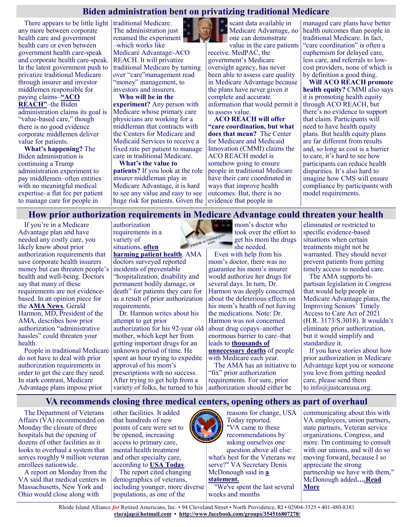## **Biden administration bent on privatizing traditional Medicare**

There appears to be little light  $\vert$  traditional Medicare. any more between corporate health care and government health care or even between government health care-speak and corporate health care-speak. In the latest government push to privatize traditional Medicare through insurer and investor middlemen responsible for paying claims–**["ACO](https://innovation.cms.gov/innovation-models/aco-reach)** 

**[REACH"](https://innovation.cms.gov/innovation-models/aco-reach)**–the Biden administration claims its goal is "value-based care," though there is no good evidence corporate middlemen deliver value for patients.

**What's happening?** The Biden administration is continuing a Trump administration experiment to pay middlemen–often entities with no meaningful medical expertise–a flat fee per patient to manage care for people in

The administration just renamed the experiment –which works like Medicare Advantage–ACO REACH. It will privatize traditional Medicare by turning over "care"management read "money" management, to investors and insurers.

**Who will be in the experiment?** Any person with Medicare whose primary care physicians are working for a middleman that contracts with the Centers for Medicare and Medicaid Services to receive a fixed rate per patient to manage care in traditional Medicare.

**What's the value to patients?** If you look at the role insurer middleman play in Medicare Advantage, it is hard to see any value and easy to see huge risk for patients. Given the evidence that people in



scant data available in Medicare Advantage, no one can demonstrate

value in the care patients receive. MedPAC, the government's Medicare oversight agency, has never been able to assess care quality in Medicare Advantage because the plans have never given it complete and accurate information that would permit it to assess value.

**ACO REACH will offer "care coordination, but what does that mean?** The Center for Medicare and Medicaid Innovation (CMMI) claims the ACO REACH model is somehow going to ensure people in traditional Medicare have their care coordinated in ways that improve health outcomes. But, there is no

managed care plans have better health outcomes than people in traditional Medicare. In fact, "care coordination" is often a euphemism for delayed care, less care, and referrals to lowcost providers, none of which is by definition a good thing.

**Will ACO REACH promote health equity?** CMMI also says it is promoting health equity through ACO REACH, but there's no evidence to support that claim. Participants will need to have health equity plans. But health equity plans are far different from results and, so long as cost is a barrier to care, it's hard to see how participants can reduce health disparities. It's also hard to imagine how CMS will ensure compliance by participants with model requirements.

#### **How prior authorization requirements in Medicare Advantage could threaten your health**

STIUTTE FROM AUTO

If you're in a Medicare Advantage plan and have needed any costly care, you likely know about prior authorization requirements that save corporate health insurers money but can threaten people's health and well-being. Doctors say that many of these requirements are not evidencebased. In an opinion piece for the **[AMA News](https://www.ama-assn.org/about/leadership/i-m-used-my-patients-prior-auth-hassles-then-came-mom-s)**, Gerald Harmon, MD, President of the AMA, describes how prior authorization "administrative hassles" could threaten your health.

People in traditional Medicare do not have to deal with prior authorization requirements in order to get the care they need. In stark contrast, Medicare Advantage plans impose prior

authorization requirements in a variety of situations, **[often](https://justcareusa.org/prior-authorization-in-medicare-advantage-harms-patients-sometimes-severely/)** 

**[harming patient health](https://justcareusa.org/prior-authorization-in-medicare-advantage-harms-patients-sometimes-severely/)**. AMA doctors surveyed reported incidents of preventable "hospitalization, disability and permanent bodily damage, or death" for patients they care for as a result of prior authorization requirements.

Dr. Harmon writes about his attempt to get prior authorization for his 92-year old mother, which kept her from getting important drugs for an unknown period of time. He spent an hour trying to expedite approval of his mom's prescriptions with no success. After trying to get help from a variety of folks, he turned to his mom's doctor who took over the effort to get his mom the drugs she needed.

Even with help from his mom's doctor, there was no guarantee his mom's insurer would authorize her drugs for several days. In turn, Dr. Harmon was deeply concerned about the deleterious effects on his mom's health of not having the medications. Note: Dr. Harmon was not concerned about drug copays–another enormous barrier to care–that leads to **[thousands of](https://justcareusa.org/the-deadly-consequences-of-out-of-pocket-drug-costs/)  [unnecessary deaths](https://justcareusa.org/the-deadly-consequences-of-out-of-pocket-drug-costs/)** of people with Medicare each year.

The AMA has an initiative to "fix" prior authorization requirements. For sure, prior authorization should either be

eliminated or restricted to specific evidence-based situations when certain treatments might not be warranted. They should never prevent patients from getting timely access to needed care.

The AMA supports bipartisan legislation in Congress that would help people in Medicare Advantage plans, the Improving Seniors' Timely Access to Care Act of 2021 (H.R. 3173/S.3018). It wouldn't eliminate prior authorization, but it would simplify and standardize it.

If you have stories about how prior authorization in Medicare Advantage kept you or someone you love from getting needed care, please send them to info@justcareusa.org.

## **VA recommends closing three medical centers, opening others as part of overhaul**

The Department of Veterans Affairs (VA) recommended on Monday the closure of three hospitals but the opening of dozens of other facilities as it looks to overhaul a system that serves roughly 9 million veteran enrollees nationwide.

A report on Monday from the VA said that medical centers in Massachusetts, New York and Ohio would close along with

other facilities. It added that hundreds of new points of care were set to be opened, increasing access to primary care, mental health treatment and other specialty care, according to **[USA Today](https://www.usatoday.com/story/news/politics/2022/03/14/va-hospitals-new-york-massachussets-ohio-close/7035074001/)**.

The report cited changing demographics of veterans, including younger, more diverse populations, as one of the



#### **[statement.](https://www.va.gov/opa/pressrel/pressrelease.cfm?id=5774)**

"We've spent the last several weeks and months

communicating about this with VA employees, union partners, state partners, Veteran service organizations, Congress, and more. I'm continuing to consult with our unions, and will do so moving forward, because I so appreciate the strong partnership we have with them," McDonough added**[….Read](https://www.msn.com/en-us/news/politics/va-recommends-closing-three-medical-centers-opening-others-as-part-of-overhaul/ar-AAV3y7f?ocid=SK2DDHP&li=BBnb7Kz)  [More](https://www.msn.com/en-us/news/politics/va-recommends-closing-three-medical-centers-opening-others-as-part-of-overhaul/ar-AAV3y7f?ocid=SK2DDHP&li=BBnb7Kz)**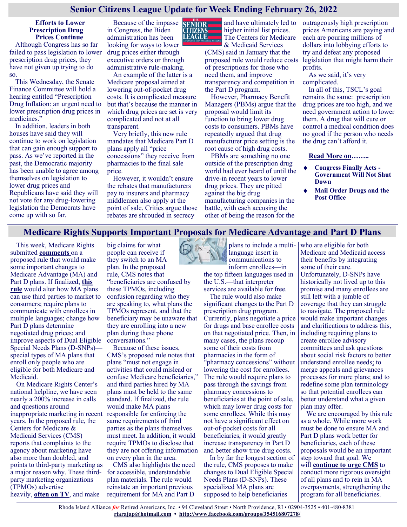## **Senior Citizens League Update for Week Ending February 26, 2022**

#### **Efforts to Lower Prescription Drug Prices Continue**

Although Congress has so far failed to pass legislation to lower prescription drug prices, they have not given up trying to do so.

This Wednesday, the Senate Finance Committee will hold a hearing entitled "Prescription Drug Inflation: an urgent need to lower prescription drug prices in medicines."

In addition, leaders in both houses have said they will continue to work on legislation that can gain enough support to pass. As we've reported in the past, the Democratic majority has been unable to agree among themselves on legislation to lower drug prices and Republicans have said they will not vote for any drug-lowering legislation the Democrats have come up with so far.

Because of the impasse in Congress, the Biden administration has been looking for ways to lower drug prices either through executive orders or through administrative rule-making.

An example of the latter is a Medicare proposal aimed at lowering out-of-pocket drug costs. It is complicated measure but that's because the manner in which drug prices are set is very complicated and not at all transparent.

Very briefly, this new rule mandates that Medicare Part D plans apply all "price concessions" they receive from pharmacies to the final sale price.

However, it wouldn't ensure the rebates that manufacturers pay to insurers and pharmacy middlemen also apply at the point of sale. Critics argue those rebates are shrouded in secrecy



and have ultimately led to higher initial list prices. The Centers for Medicare

& Medicaid Services (CMS) said in January that the proposed rule would reduce costs of prescriptions for those who need them, and improve transparency and competition in the Part D program.

However, Pharmacy Benefit Managers (PBMs) argue that the proposal would limit its function to bring lower drug costs to consumers. PBMs have repeatedly argued that drug manufacturer price setting is the root cause of high drug costs.

PBMs are something no one outside of the prescription drug world had ever heard of until the drive-in recent years to lower drug prices. They are pitted against the big drug manufacturing companies in the battle, with each accusing the other of being the reason for the

outrageously high prescription prices Americans are paying and each are pouring millions of dollars into lobbying efforts to try and defeat any proposed legislation that might harm their profits.

As we said, it's very complicated.

In all of this, TSCL's goal remains the same: prescription drug prices are too high, and we need government action to lower them. A drug that will cure or control a medical condition does no good if the person who needs the drug can't afford it.

**[Read More on…](https://seniorsleague.org/update-for-week-ending-march-12-2022/)…..**

- **Congress Finally Acts - Government Will Not Shut Down**
- **Mail Order Drugs and the Post Office**

## **Medicare Rights Supports Important Proposals for Medicare Advantage and Part D Plans**

This week, Medicare Rights submitted **[comments](https://www.medicarerights.org/policy-documents/comments-on-2023-cd-rule)** on a proposed rule that would make some important changes to Medicare Advantage (MA) and Part D plans. If finalized, **[this](https://www.federalregister.gov/documents/2022/01/12/2022-00117/medicare-program-contract-year-2023-policy-and-technical-changes-to-the-medicare-advantage-and)  [rule](https://www.federalregister.gov/documents/2022/01/12/2022-00117/medicare-program-contract-year-2023-policy-and-technical-changes-to-the-medicare-advantage-and)** would alter how MA plans can use third parties to market to consumers; require plans to communicate with enrollees in multiple languages; change how Part D plans determine negotiated drug prices; and improve aspects of Dual Eligible Special Needs Plans (D-SNPs) special types of MA plans that enroll only people who are eligible for both Medicare and Medicaid.

On Medicare Rights Center's national helpline, we have seen nearly a 200% increase in calls and questions around inappropriate marketing in recent years. In the proposed rule, the Centers for Medicare & Medicaid Services (CMS) reports that complaints to the agency about marketing have also more than doubled, and points to third-party marketing as a major reason why. These thirdparty marketing organizations (TPMOs) advertise heavily, **[often on TV](https://www.forbes.com/sites/nextavenue/2021/11/12/the-truth-about-those-medicare-advantage-tv-commercials/?sh=2c5c28f71e99)**, and make



Because of these issues, CMS's proposed rule notes that plans "must not engage in activities that could mislead or confuse Medicare beneficiaries," and third parties hired by MA plans must be held to the same standard. If finalized, the rule would make MA plans responsible for enforcing the same requirements of third parties as the plans themselves must meet. In addition, it would require TPMOs to disclose that they are not offering information on every plan in the area.

CMS also highlights the need for accessible, understandable plan materials. The rule would reinstate an important previous requirement for MA and Part D



plans to include a multilanguage insert in communications to inform enrollees—in

the top fifteen languages used in the U.S.—that interpreter services are available for free.

The rule would also make significant changes to the Part D prescription drug program. Currently, plans negotiate a price for drugs and base enrollee costs on that negotiated price. Then, in many cases, the plans recoup some of their costs from pharmacies in the form of 'pharmacy concessions" without lowering the cost for enrollees. The rule would require plans to pass through the savings from pharmacy concessions to beneficiaries at the point of sale, which may lower drug costs for some enrollees. While this may not have a significant effect on out-of-pocket costs for all beneficiaries, it would greatly increase transparency in Part D and better show true drug costs.

In by far the longest section of the rule, CMS proposes to make changes to Dual Eligible Special Needs Plans (D-SNPs). These specialized MA plans are supposed to help beneficiaries

who are eligible for both Medicare and Medicaid access their benefits by integrating some of their care. Unfortunately, D-SNPs have historically not lived up to this promise and many enrollees are still left with a jumble of coverage that they can struggle to navigate. The proposed rule would make important changes and clarifications to address this, including requiring plans to create enrollee advisory committees and ask questions about social risk factors to better understand enrollee needs; to merge appeals and grievances processes for more plans; and to redefine some plan terminology so that potential enrollees can better understand what a given plan may offer.

We are encouraged by this rule as a whole. While more work must be done to ensure MA and Part D plans work better for beneficiaries, each of these proposals would be an important step toward that goal. We will **[continue to urge CMS](https://www.medicarerights.org/medicare-watch/2022/01/20/continued-growth-in-medicare-advantage-increases-urgency-of-needed-reforms)** to conduct more rigorous oversight of all plans and to rein in MA overpayments, strengthening the program for all beneficiaries.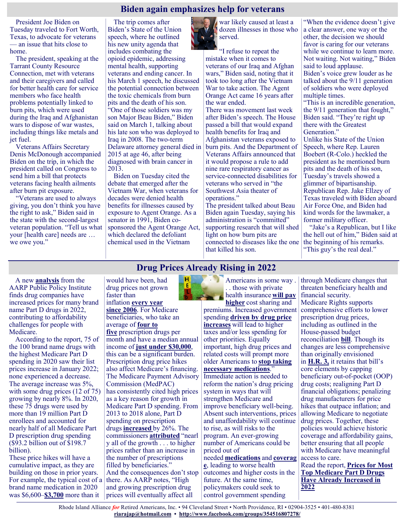## **Biden again emphasizes help for veterans**

President Joe Biden on Tuesday traveled to Fort Worth, Texas, to advocate for veterans — an issue that hits close to home.

The president, speaking at the Tarrant County Resource Connection, met with veterans and their caregivers and called for better health care for service members who face health problems potentially linked to burn pits, which were used during the Iraq and Afghanistan wars to dispose of war wastes, including things like metals and jet fuel.

Veterans Affairs Secretary Denis McDonough accompanied Biden on the trip, in which the president called on Congress to send him a bill that protects veterans facing health ailments after burn pit exposure.

"Veterans are used to always giving, you don't think you have the right to ask," Biden said in the state with the second-largest veteran population. "Tell us what your [health care] needs are … we owe you."

The trip comes after Biden's State of the Union speech, where he outlined his new unity agenda that includes combating the opioid epidemic, addressing mental health, supporting veterans and ending cancer. In his March 1 speech, he discussed the potential connection between the toxic chemicals from burn pits and the death of his son. "One of those soldiers was my son Major Beau Biden," Biden said on March 1, talking about his late son who was deployed to Iraq in 2008. The two-term Delaware attorney general died in 2015 at age 46, after being diagnosed with brain cancer in 2013.

Biden on Tuesday cited the debate that emerged after the Vietnam War, when veterans for decades were denied health benefits for illnesses caused by exposure to Agent Orange. As a senator in 1991, Biden cosponsored the Agent Orange Act, which declared the defoliant chemical used in the Vietnam

war likely caused at least a dozen illnesses in those who served.

"I refuse to repeat the mistake when it comes to veterans of our Iraq and Afghan wars," Biden said, noting that it took too long after the Vietnam War to take action. The Agent Orange Act came 16 years after the war ended.

There was movement last week after Biden's speech. The House passed a bill that would expand health benefits for Iraq and Afghanistan veterans exposed to burn pits. And the Department of Veterans Affairs announced that it would propose a rule to add nine rare respiratory cancer as service-connected disabilities for veterans who served in "the Southwest Asia theater of operations."

The president talked about Beau Biden again Tuesday, saying his administration is "committed" supporting research that will shed light on how burn pits are connected to diseases like the one that killed his son.

"When the evidence doesn't give a clear answer, one way or the other, the decision we should favor is caring for our veterans while we continue to learn more. Not waiting. Not waiting," Biden said to loud applause. Biden's voice grew louder as he talked about the 9/11 generation of soldiers who were deployed multiple times.

"This is an incredible generation, the 9/11 generation that fought," Biden said. "They're right up there with the Greatest Generation."

Unlike his State of the Union Speech, where Rep. Lauren Boebert (R-Colo.) heckled the president as he mentioned burn pits and the death of his son, Tuesday's travels showed a glimmer of bipartisanship. Republican Rep. Jake Ellzey of Texas traveled with Biden aboard Air Force One, and Biden had kind words for the lawmaker, a former military officer.

"Jake's a Republican, but I like the hell out of him," Biden said at the beginning of his remarks. "This guy's the real deal."

**Drug Prices Already Rising in 2022**

A new **[analysis](https://blog.aarp.org/thinking-policy/prices-for-most-top-medicare-part-d-drugs-have-already-increased-in-2022)** from the AARP Public Policy Institute finds drug companies have increased prices for many brand name Part D drugs in 2022, contributing to affordability challenges for people with Medicare.

According to the report, 75 of the 100 brand name drugs with the highest Medicare Part D spending in 2020 saw their list prices increase in January 2022; none experienced a decrease. The average increase was 5%, with some drug prices (12 of 75) growing by nearly 8%. In 2020, these 75 drugs were used by more than 19 million Part D enrollees and accounted for nearly half of all Medicare Part D prescription drug spending (\$93.2 billion out of \$198.7 billion).

These price hikes will have a cumulative impact, as they are building on those in prior years. For example, the typical cost of a brand name medication in 2020 was \$6,600–**[\\$3,700](https://www.medicarerights.org/medicare-watch/2022/03/10/$6,600%E2%80%93$3,700)** more than it

붙 would have been, had drug prices not grown faster than inflation **[every year](https://www.aarp.org/ppi/info-2019/trends-in-retail-prices-of-drugs.html?INTCMP=RDRCT-PPI-HEALTH-040919)  [since 2006](https://www.aarp.org/ppi/info-2019/trends-in-retail-prices-of-drugs.html?INTCMP=RDRCT-PPI-HEALTH-040919)**. For Medicare beneficiaries, who take an average of **[four to](https://www.aarp.org/content/dam/aarp/ppi/2021/06/brand-name-prescription-drug-prices-increase-over-twice-as-fast-as-inflation.doi.10.26419-2Fppi.00144.001.pdf)  [five](https://www.aarp.org/content/dam/aarp/ppi/2021/06/brand-name-prescription-drug-prices-increase-over-twice-as-fast-as-inflation.doi.10.26419-2Fppi.00144.001.pdf)** prescription drugs per month and have a median annual income of **[just under \\$30,000](https://www.kff.org/medicare/issue-brief/medicare-beneficiaries-financial-security-before-the-coronavirus-pandemic/)**, this can be a significant burden. Prescription drug price hikes also affect Medicare's financing. The Medicare Payment Advisory Commission (MedPAC) has consistently cited high prices as a key reason for growth in Medicare Part D spending. From 2013 to 2018 alone, Part D spending on prescription drugs **[increased](http://www.medpac.gov/)**by 26%. The commissioners **[attributed](https://www.axios.com/medpac-medicare-drug-spending-prices-9364a77d-079b-496f-b758-ea90b97e0f1f.html)** "nearl y all of the growth . . . to higher prices rather than an increase in

the number of prescriptions filled by beneficiaries." And the consequences don't stop there. As AARP notes, "High and growing prescription drug prices will eventually affect all

Americans in some way . . . those with private health insurance **[will pay](https://www.actuary.org/content/prescription-drug-spending-us-health-care-system)** 

**[higher](https://www.actuary.org/content/prescription-drug-spending-us-health-care-system)** cost sharing and premiums. Increased government spending **[driven by drug price](https://www.medpac.gov/document/addressing-high-prices-of-pharmaceutical-products-and-other-technologies-covered-under-medicare/)  [increases](https://www.medpac.gov/document/addressing-high-prices-of-pharmaceutical-products-and-other-technologies-covered-under-medicare/)** will lead to higher taxes and/or less spending for other priorities. Equally important, high drug prices and related costs will prompt more older Americans to **[stop taking](https://www.statnews.com/2022/01/07/out-of-pocket-drug-costs-for-medicare-beneficiaries-need-to-be-reined-in/)  [necessary medications](https://www.statnews.com/2022/01/07/out-of-pocket-drug-costs-for-medicare-beneficiaries-need-to-be-reined-in/)**." Immediate action is needed to reform the nation's drug pricing system in ways that will strengthen Medicare and improve beneficiary well-being. Absent such interventions, prices and unaffordability will continue to rise, as will risks to the program. An ever-growing number of Americans could be priced out of needed **[medications](https://pubmed.ncbi.nlm.nih.gov/32835462/)** and **[coverag](https://bmjopen.bmj.com/content/8/1/e016982) [e](https://bmjopen.bmj.com/content/8/1/e016982)**, leading to worse health outcomes and higher costs in the future. At the same time, policymakers could seek to

control government spending

through Medicare changes that threaten beneficiary health and financial security. Medicare Rights supports comprehensive efforts to lower prescription drug prices, including as outlined in the House-passed budget reconciliation **[bill](https://www.congress.gov/bill/117th-congress/house-bill/5376/text)**. Though its changes are less comprehensive than originally envisioned in **[H.R. 3,](https://www.medicarerights.org/medicare-watch/2021/05/06/medicare-rights-endorses-elijah-e-cummings-lower-drug-costs-now-act)** it retains that bill's core elements by capping beneficiary out-of-pocket (OOP) drug costs; realigning Part D financial obligations; penalizing drug manufacturers for price hikes that outpace inflation; and allowing Medicare to negotiate drug prices. Together, these policies would achieve historic coverage and affordability gains, better ensuring that all people with Medicare have meaningful access to care. Read the report, **[Prices for Most](https://blog.aarp.org/thinking-policy/prices-for-most-top-medicare-part-d-drugs-have-already-increased-in-2022)** 

**[Top Medicare Part D Drugs](https://blog.aarp.org/thinking-policy/prices-for-most-top-medicare-part-d-drugs-have-already-increased-in-2022)  [Have Already Increased in](https://blog.aarp.org/thinking-policy/prices-for-most-top-medicare-part-d-drugs-have-already-increased-in-2022)  [2022](https://blog.aarp.org/thinking-policy/prices-for-most-top-medicare-part-d-drugs-have-already-increased-in-2022)**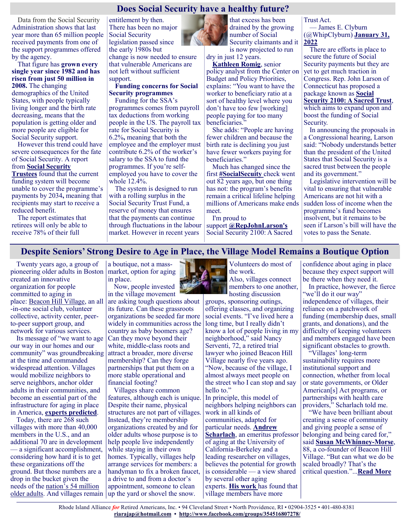## **Does Social Security have a healthy future?**

Data from the Social Security Administration shows that last year more than 65 million people received payments from one of the support programmes offered by the agency.

That figure has **grown every single year since 1982 and has risen from just 50 million in 2008.** The changing demographics of the United States, with people typically living longer and the birth rate decreasing, means that the population is getting older and more people are eligible for Social Security support.

However this trend could have severe consequences for the fate of Social Security. A report from **[Social Security](https://www.ssa.gov/OACT/TR/2021/tr2021.pdf)** 

**[Trustees](https://www.ssa.gov/OACT/TR/2021/tr2021.pdf)** found that the current funding system will become unable to cover the programme's payments by 2034**,** meaning that recipients may start to receive a reduced benefit.

The report estimates that retirees will only be able to receive 78% of their full

entitlement by then. There has been no major Social Security legislation passed since the early 1980s but change is now needed to ensure that vulnerable Americans are not left without sufficient support.

#### **Funding concerns for Social Security programmes**

Funding for the SSA's programmes comes from payroll tax deductions from working people in the US. The payroll tax rate for Social Security is 6.2%**,** meaning that both the employee and the employer must contribute 6.2% of the worker's salary to the SSA to fund the programmes. If you're selfemployed you have to cover the whole 12.4%.

The system is designed to run with a rolling surplus in the Social Security Trust Fund, a reserve of money that ensures that the payments can continue through fluctuations in the labour market. However in recent years

that excess has been drained by the growing number of Social Security claimants and it is now projected to run

dry in just 12 years. **[Kathleen Romig](https://www.cnbc.com/select/will-social-security-run-out-heres-what-you-need-to-know/)**, senior policy analyst from the Center on Budget and Policy Priorities, explains: "You want to have the worker to beneficiary ratio at a sort of healthy level where you don't have too few [working] people paying for too many

beneficiaries.' She adds: "People are having fewer children and because the birth rate is declining you just have fewer workers paying for beneficiaries."

Much has changed since the first **[#SocialSecuity](https://twitter.com/hashtag/SocialSecuity?src=hash&ref_src=twsrc%5Etfw)** check went out 82 years ago, but one thing has not: the program's benefits remain a critical lifeline helping millions of Americans make ends meet.

I'm proud to

support **[@RepJohnLarson's](https://twitter.com/RepJohnLarson?ref_src=twsrc%5Etfw)** Social Security 2100: A Sacred Trust Act.

— James E. Clyburn (@WhipClyburn) **[January 31,](https://twitter.com/WhipClyburn/status/1488252382790266886?ref_src=twsrc%5Etfw)  [2022](https://twitter.com/WhipClyburn/status/1488252382790266886?ref_src=twsrc%5Etfw)**

There are efforts in place to secure the future of Social Security payments but they are yet to get much traction in Congress. Rep. John Larson of Connecticut has proposed a package known as **[Social](https://larson.house.gov/issues/social-security-2100-sacred-trust?page=14)  [Security 2100: A Sacred Trust](https://larson.house.gov/issues/social-security-2100-sacred-trust?page=14)**, which aims to expand upon and boost the funding of Social Security.

In announcing the proposals in a Congressional hearing, Larson said: "Nobody understands better than the president of the United States that Social Security is a sacred trust between the people and its government."

Legislative intervention will be vital to ensuring that vulnerable Americans are not hit with a sudden loss of income when the programme's fund becomes insolvent, but it remains to be seen if Larson's bill will have the votes to pass the Senate.

## **Despite Seniors' Strong Desire to Age in Place, the Village Model Remains a Boutique Option**

Twenty years ago, a group of pioneering older adults in Boston created an innovative organization for people committed to aging in place: [Beacon Hill Village,](https://www.beaconhillvillage.org/content.aspx?page_id=22&club_id=332658&module_id=344865) an all -in-one social club, volunteer collective, activity center, peerto-peer support group, and network for various services.

Its message of "we want to age our way in our homes and our community" was groundbreaking at the time and commanded widespread attention. Villages would mobilize neighbors to serve neighbors, anchor older adults in their communities, and become an essential part of the infrastructure for aging in place in America, **[experts predicted](https://www.nytimes.com/2006/02/09/garden/aging-at-home-for-a-lucky-few-a-wish-come-true.html)**.

Today, there are 268 such villages with more than 40,000 members in the U.S., and an additional 70 are in development a significant accomplishment, considering how hard it is to get these organizations off the ground. But those numbers are a drop in the bucket given the needs of the [nation's 54 million](https://acl.gov/sites/default/files/Aging%20and%20Disability%20in%20America/2020ProfileOlderAmericans.Final_.pdf)  [older adults.](https://acl.gov/sites/default/files/Aging%20and%20Disability%20in%20America/2020ProfileOlderAmericans.Final_.pdf) And villages remain up the yard or shovel the snow.

a boutique, not a massmarket, option for aging in place.

Now, people invested in the village movement

are asking tough questions about its future. Can these grassroots organizations be seeded far more widely in communities across the country as baby boomers age? Can they move beyond their white, middle-class roots and attract a broader, more diverse membership? Can they forge partnerships that put them on a more stable operational and financial footing?

Villages share common features, although each is unique. Despite their name, physical structures are not part of villages. Instead, they're membership organizations created by and for older adults whose purpose is to help people live independently while staying in their own homes. Typically, villages help arrange services for members: a handyman to fix a broken faucet, a drive to and from a doctor's appointment, someone to clean



Volunteers do most of the work. Also, villages connect members to one another, hosting discussion

groups, sponsoring outings, offering classes, and organizing social events. "I've lived here a long time, but I really didn't know a lot of people living in my neighborhood," said Nancy Serventi, 72, a retired trial lawyer who joined Beacon Hill Village nearly five years ago. "Now, because of the village, I almost always meet people on the street who I can stop and say hello to."

In principle, this model of neighbors helping neighbors can work in all kinds of communities, adapted for particular needs. **[Andrew](https://socialwelfare.berkeley.edu/people/andrew-scharlach)  [Scharlach](https://socialwelfare.berkeley.edu/people/andrew-scharlach)**, an emeritus professor of aging at the University of California-Berkeley and a leading researcher on villages, believes the potential for growth is considerable — a view shared by several other aging experts. **[His work](https://journals.sagepub.com/doi/abs/10.1177/0733464816672046)** has found that village members have more

confidence about aging in place because they expect support will be there when they need it.

In practice, however, the fierce "we'll do it our way" independence of villages, their reliance on a patchwork of funding (membership dues, small grants, and donations), and the difficulty of keeping volunteers and members engaged have been significant obstacles to growth.

"Villages' long-term sustainability requires more institutional support and connection, whether from local or state governments, or Older American[s] Act programs, or partnerships with health care providers," Scharlach told me.

"We have been brilliant about creating a sense of community and giving people a sense of belonging and being cared for," said **[Susan McWhinney](https://www.manhattan-institute.org/expert/susan-mcwhinney-morse)-Morse**, 88, a co-founder of Beacon Hill Village. "But can what we do be scaled broadly? That's the critical question."...**[Read More](https://khn.org/news/article/seniors-aging-in-place-village-movement-boutique-option/)**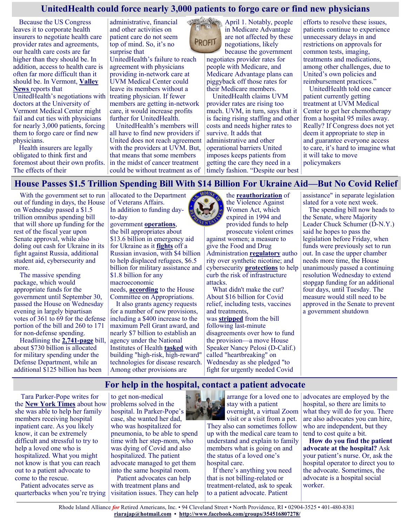## **UnitedHealth could force nearly 3,000 patients to forgo care or find new physicians**

Because the US Congress leaves it to corporate health insurers to negotiate health care provider rates and agreements, our health care costs are far higher than they should be. In addition, access to health care is often far more difficult than it should be. In Vermont, **[Valley](https://www.vnews.com/UnitedHealthcare-UVM-Health-Network-dispute-could-leave-2-900-patients-searching-for-care-45379393)  [News](https://www.vnews.com/UnitedHealthcare-UVM-Health-Network-dispute-could-leave-2-900-patients-searching-for-care-45379393)** reports that UnitedHealth's negotiations with doctors at the University of Vermont Medical Center might fail and cut ties with physicians for nearly 3,000 patients, forcing them to forgo care or find new physicians.

Health insurers are legally obligated to think first and foremost about their own profits. The effects of their

administrative, financial and other activities on patient care do not seem top of mind. So, it's no surprise that

UnitedHealth's failure to reach agreement with physicians providing in-network care at UVM Medical Center could leave its members without a treating physician. If fewer members are getting in-network care, it would increase profits further for UnitedHealth.

UnitedHealth's members will all have to find new providers if United does not reach agreement with the providers at UVM. But, that means that some members in the midst of cancer treatment could be without treatment as of



April 1. Notably, people in Medicare Advantage are not affected by these negotiations, likely because the government

negotiates provider rates for people with Medicare, and Medicare Advantage plans can piggyback off those rates for their Medicare members.

UnitedHealth claims UVM provider rates are rising too much. UVM, in turn, says that it is facing rising staffing and other costs and needs higher rates to survive. It adds that administrative and other operational barriers United imposes keeps patients from getting the care they need in a timely fashion. "Despite our best efforts to resolve these issues, patients continue to experience unnecessary delays in and restrictions on approvals for common tests, imaging, treatments and medications, among other challenges, due to United's own policies and reimbursement practices."

UnitedHealth told one cancer patient currently getting treatment at UVM Medical Center to get her chemotherapy from a hospital 95 miles away. Really? If Congress does not yet deem it appropriate to step in and guarantee everyone access to care, it's hard to imagine what it will take to move policymakers

## **House Passes \$1.5 Trillion Spending Bill With \$14 Billion For Ukraine Aid—But No Covid Relief**<br>With the government set to run |allocated to the Department the **reauthorization** of |assistance" in separate legislation

With the government set to run | allocated to the Department out of funding in days, the House on Wednesday passed a \$1.5 trillion omnibus spending bill that will shore up funding for the rest of the fiscal year upon Senate approval, while also doling out cash for Ukraine in its fight against Russia, additional student aid, cybersecurity and more.

The massive spending package, which would appropriate funds for the government until September 30, passed the House on Wednesday evening in largely bipartisan votes of 361 to 69 for the defense portion of the bill and 260 to 171 for non-defense spending.

Headlining the **[2,741](https://rules.house.gov/sites/democrats.rules.house.gov/files/BILLS-117HR2471SA-RCP-117-35.pdf)-page** bill, about \$730 billion is allocated for military spending under the Defense Department, while an additional \$125 billion has been

of Veterans Affairs. In addition to funding dayto-day

government **[operations](https://www.crfb.org/blogs/appropriations-watch-fy-2022)**, the bill appropriates about \$13.6 billion in emergency aid for Ukraine as it **[fights](https://www.forbes.com/sites/forbesstaffreports/2022/03/09/live-ukraine-russia/?sh=2fe5512755bb)** off a Russian invasion, with \$4 billion to help displaced refugees, \$6.5 billion for military assistance and \$1.8 billion for any macroeconomic

needs, **[according](https://appropriations.house.gov/sites/democrats.appropriations.house.gov/files/Ukraine%20Fact%20Sheet.pdf)** to the House Committee on Appropriations.

It also grants agency requests for a number of new provisions, including a \$400 increase to the maximum Pell Grant award, and nearly \$7 billion to establish an agency under the National Institutes of Health **[tasked](https://www.nih.gov/arpa-h)** with building "high-risk, high-reward" technologies for disease research. Among other provisions are



the **[reauthorization](https://www.washingtonpost.com/politics/2022/03/09/violence-against-women-act-reauthorization-omnibus-bill-vawa/)** of the Violence Against Women Act, which expired in 1994 and provided funds to help prosecute violent crimes against women; a measure to

give the Food and Drug Administration **[regulatory](https://edition.cnn.com/2022/03/09/health/vaping-loophole-synthetic-nicotine-omnibus-bill/index.html)** autho rity over synthetic nicotine; and cybersecurity **[protections](https://www.congress.gov/bill/117th-congress/senate-bill/3600/text)** to help curb the risk of infrastructure attacks.

What didn't make the cut? About \$16 billion for Covid relief, including tests, vaccines and treatments, was **[stripped](https://www.speaker.gov/newsroom/3922-3)** from the bill following last-minute disagreements over how to fund the provision—a move House Speaker Nancy Pelosi (D-Calif.) called "heartbreaking" on Wednesday as she pledged "to fight for urgently needed Covid

assistance" in separate legislation slated for a vote next week.

The spending bill now heads to the Senate, where Majority Leader Chuck Schumer (D-N.Y.) said he hopes to pass the legislation before Friday, when funds were previously set to run out. In case the upper chamber needs more time, the House unanimously passed a continuing resolution Wednesday to extend stopgap funding for an additional four days, until Tuesday. The measure would still need to be approved in the Senate to prevent a government shutdown

## **For help in the hospital, contact a patient advocate**

Tara Parker-Pope writes for the **[New York Times](https://www.nytimes.com/2022/03/03/well/live/hospital-patient-advocates.html)** about how she was able to help her family members receiving hospital inpatient care. As you likely know, it can be extremely difficult and stressful to try to help a loved one who is hospitalized. What you might not know is that you can reach out to a patient advocate to come to the rescue.

Patient advocates serve as quarterbacks when you're trying

to get non-medical problems solved in the hospital. In Parker-Pope's case, she wanted her dad, who was hospitalized for pneumonia, to be able to spend time with her step-mom, who was dying of Covid and also hospitalized. The patient advocate managed to get them into the same hospital room.

Patient advocates can help with treatment plans and visitation issues. They can help

arrange for a loved one to stay with a patient overnight, a virtual Zoom

visit or a visit from a pet. They also can sometimes follow up with the medical care team to understand and explain to family members what is going on and the status of a loved one's hospital care.

If there's anything you need that is not billing-related or treatment-related, ask to speak to a patient advocate. Patient

advocates are employed by the hospital, so there are limits to what they will do for you. There are also advocates you can hire, who are independent, but they tend to cost quite a bit.

**How do you find the patient advocate at the hospital?** Ask your patient's nurse. Or, ask the hospital operator to direct you to the advocate. Sometimes, the advocate is a hospital social worker.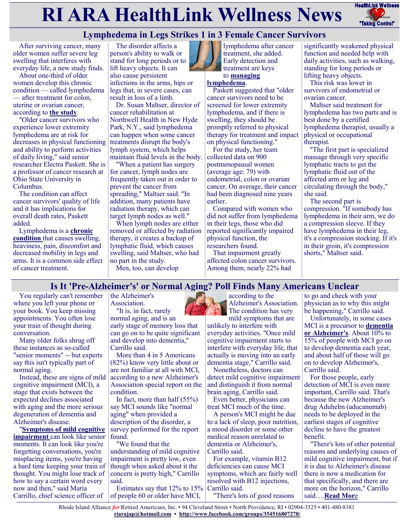# **RI ARA HealthLink Wellness News** FealthLink Wellness



## **Lymphedema in Legs Strikes 1 in 3 Female Cancer Survivors**

After surviving cancer, many older women suffer severe leg swelling that interferes with everyday life, a new study finds.

About one-third of older women develop this chronic condition — called lymphedema — after treatment for colon, uterine or ovarian cancer, according to **[the study](https://jamanetwork.com/journals/jamanetworkopen/fullarticle/2789841)**.

"Older cancer survivors who experience lower extremity lymphedema are at risk for decreases in physical functioning and ability to perform activities of daily living," said senior researcher Electra Paskett. She is a professor of cancer research at Ohio State University in Columbus.

The condition can affect cancer survivors' quality of life and it has implications for overall death rates, Paskett added.

Lymphedema is a **[chronic](https://www.mayoclinic.org/diseases-conditions/lymphedema/symptoms-causes/syc-20374682?p=1)  [condition](https://www.mayoclinic.org/diseases-conditions/lymphedema/symptoms-causes/syc-20374682?p=1)** that causes swelling, heaviness, pain, discomfort and decreased mobility in legs and arms. It is a common side effect of cancer treatment.

The disorder affects a person's ability to walk or stand for long periods or to lift heavy objects. It can also cause persistent infections in the arms, hips or legs that, in severe cases, can result in loss of a limb.

Dr. Susan Maltser, director of cancer rehabilitation at Northwell Health in New Hyde Park, N.Y., said lymphedema can happen when some cancer treatments disrupt the body's lymph system, which helps maintain fluid levels in the body.

"When a patient has surgery for cancer, lymph nodes are frequently taken out in order to prevent the cancer from spreading," Maltser said. "In addition, many patients have radiation therapy, which can target lymph nodes as well."

When lymph nodes are either removed or affected by radiation therapy, it creates a backup of lymphatic fluid, which causes swelling, said Maltser, who had no part in the study. Men, too, can develop



lymphedema after cancer treatment, she added. Early detection and treatment are keys to **[managing](https://lymphaticnetwork.org/living-with-lymphedema/lymphedema/)** 

#### **[lymphedema](https://lymphaticnetwork.org/living-with-lymphedema/lymphedema/)**.

Paskett suggested that "older cancer survivors need to be screened for lower extremity lymphedema, and if there is swelling, they should be promptly referred to physical therapy for treatment and impact on physical functioning."

For the study, her team collected data on 900 postmenopausal women (average age: 79) with endometrial, colon or ovarian cancer. On average, their cancer had been diagnosed nine years earlier.

Compared with women who did not suffer from lymphedema in their legs, those who did reported significantly impaired physical function, the researchers found.

That impairment greatly affected colon cancer survivors. Among them, nearly 22% had

significantly weakened physical function and needed help with daily activities, such as walking, standing for long periods or lifting heavy objects.

This risk was lower in survivors of endometrial or ovarian cancer.

Maltser said treatment for lymphedema has two parts and is best done by a certified lymphedema therapist, usually a physical or occupational therapist.

"The first part is specialized massage through very specific lymphatic tracts to get the lymphatic fluid out of the affected arm or leg and circulating through the body," she said.

The second part is compression. "If somebody has lymphedema in their arm, we do a compression sleeve. If they have lymphedema in their leg, it's a compression stocking. If it's in their groin, it's compression shorts," Maltser said.

## **Is It 'Pre-Alzheimer's' or Normal Aging? Poll Finds Many Americans Unclear**

You regularly can't remember where you left your phone or your book. You keep missing appointments. You often lose your train of thought during conversation.

Many older folks shrug off these instances as so-called "senior moments" -- but experts say this isn't typically part of normal aging.

Instead, these are signs of mild cognitive impairment (MCI), a stage that exists between the expected declines associated with aging and the more serious degeneration of dementia and Alzheimer's disease.

"**[Symptoms of mild cognitive](https://www.alz.org/alzheimers-dementia/what-is-dementia/related_conditions/mild-cognitive-impairment)  [impairment](https://www.alz.org/alzheimers-dementia/what-is-dementia/related_conditions/mild-cognitive-impairment)** can look like senior moments. It can look like you're forgetting conversations, you're misplacing items, you're having a hard time keeping your train of thought. You might lose track of how to say a certain word every now and then," said Maria Carrillo, chief science officer of

the Alzheimer's Association.

"It is, in fact, rarely normal aging, and is an early stage of memory loss that can go on to be quite significant and develop into dementia," Carrillo said.

More than 4 in 5 Americans (82%) know very little about or are not familiar at all with MCI, according to a new Alzheimer's Association special report on the condition.

In fact, more than half (55%) say MCI sounds like "normal aging" when provided a description of the disorder, a survey performed for the report found.

"We found that the understanding of mild cognitive impairment is pretty low, even though when asked about it the concern is pretty high," Carrillo said.

Estimates say that 12% to 15% Carrillo said. of people 60 or older have MCI,

according to the Alzheimer's Association. The condition has very mild symptoms that are

unlikely to interfere with everyday activities. "Once mild cognitive impairment starts to interfere with everyday life, that actually is moving into an early dementia stage," Carrillo said.

Nonetheless, doctors can detect mild cognitive impairment and distinguish it from normal brain aging, Carrillo said.

Even better, physicians can treat MCI much of the time.

A person's MCI might be due to a lack of sleep, poor nutrition, a mood disorder or some other medical reason unrelated to dementia or Alzheimer's, Carrillo said.

For example, vitamin B12 deficiencies can cause MCI symptoms, which are fairly well resolved with B12 injections,

"There's lots of good reasons

to go and check with your physician as to why this might be happening," Carrillo said.

Unfortunately, in some cases MCI is a precursor to **[dementia](https://www.alz.org/alzheimers-dementia/10_signs)  [or Alzheimer's](https://www.alz.org/alzheimers-dementia/10_signs)**. About 10% to 15% of people with MCI go on to develop dementia each year, and about half of those will go on to develop Alzheimer's, Carrillo said.

For those people, early detection of MCI is even more important, Carrillo said. That's because the new Alzheimer's drug Aduhelm (aducanumab) needs to be deployed in the earliest stages of cognitive decline to have the greatest benefit.

"There's lots of other potential reasons and underlying causes of mild cognitive impairment, but if it is due to Alzheimer's disease there is now a medication for that specifically, and there are more on the horizon," Carrillo said….**[Read Mor](https://consumer.healthday.com/3-15-is-it-pre-alzheimer-s-or-normal-aging-poll-finds-many-americans-unclear-2656861657.html)**e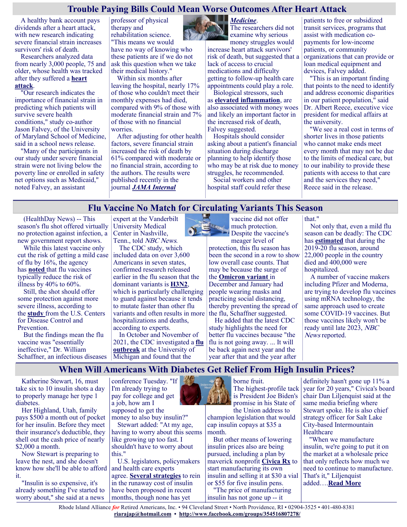## **Trouble Paying Bills Could Mean Worse Outcomes After Heart Attack**

A healthy bank account pays dividends after a heart attack, with new research indicating severe financial strain increases survivors' risk of death.

Researchers analyzed data from nearly 3,000 people, 75 and older, whose health was tracked after they suffered a **[heart](https://www.cdc.gov/heartdisease/heart_attack.htm)  [attack](https://www.cdc.gov/heartdisease/heart_attack.htm)**.

"Our research indicates the importance of financial strain in predicting which patients will survive severe health conditions," study co-author Jason Falvey, of the University of Maryland School of Medicine, said in a school news release.

"Many of the participants in our study under severe financial strain were not living below the poverty line or enrolled in safety net options such as Medicaid," noted Falvey, an assistant

professor of physical therapy and rehabilitation science. "This means we would have no way of knowing who these patients are if we do not ask this question when we take their medical history."

Within six months after leaving the hospital, nearly 17% of those who couldn't meet their monthly expenses had died, compared with 9% of those with moderate financial strain and 7% of those with no financial worries.

After adjusting for other health factors, severe financial strain increased the risk of death by 61% compared with moderate or no financial strain, according to the authors. The results were published recently in the journal *[JAMA Internal](https://jamanetwork.com/journals/jamainternalmedicine/article-abstract/2788997?resultClick=1)* 



*[Medicine](https://jamanetwork.com/journals/jamainternalmedicine/article-abstract/2788997?resultClick=1)*. The researchers did not examine why serious

money struggles would increase heart attack survivors' risk of death, but suggested that a lack of access to crucial medications and difficulty getting to follow-up health care appointments could play a role.

Biological stressors, such as **[elevated inflammation](https://medlineplus.gov/lab-tests/c-reactive-protein-crp-test/)**, are also associated with money woes and likely an important factor in the increased risk of death, Falvey suggested.

Hospitals should consider asking about a patient's financial situation during discharge planning to help identify those who may be at risk due to money struggles, he recommended.

Social workers and other hospital staff could refer these

patients to free or subsidized transit services, programs that assist with medication copayments for low-income patients, or community organizations that can provide or loan medical equipment and devices, Falvey added.

"This is an important finding that points to the need to identify and address economic disparities in our patient population," said Dr. Albert Reece, executive vice president for medical affairs at the university.

"We see a real cost in terms of shorter lives in those patients who cannot make ends meet every month that may not be due to the limits of medical care, but to our inability to provide these patients with access to that care and the services they need," Reece said in the release.

#### **Flu Vaccine No Match for Circulating Variants This Season**

(HealthDay News) -- This season's flu shot offered virtually no protection against infection, a new government report shows.

While this latest vaccine only cut the risk of getting a mild case of flu by 16%, the agency has **[noted](https://www.cdc.gov/flu/vaccines-work/vaccineeffect.htm)** that flu vaccines typically reduce the risk of illness by 40% to 60%.

Still, the shot should offer some protection against more severe illness, according to the **[study](https://www.cdc.gov/mmwr/volumes/71/wr/mm7110a1.htm?s_cid=mm7110a1_w#T1_down)** from the U.S. Centers for Disease Control and Prevention.

But the findings mean the flu vaccine was "essentially ineffective," Dr. William Schaffner, an infectious diseases

expert at the Vanderbilt University Medical Center in Nashville, Tenn., told NBC News.

The CDC study, which included data on over 3,600 Americans in seven states, confirmed research released earlier in the flu season that the dominant variants is **[H3N2](https://www.cdc.gov/flu/swineflu/variant/h3n2v-cases.htm)**, which is particularly challenging to guard against because it tends to mutate faster than other flu variants and often results in more hospitalizations and deaths,

according to experts. In October and November of 2021, the CDC investigated a **[flu](https://news.umich.edu/cdc-on-u-m-campus-to-research-flu-cases/)  [outbreak](https://news.umich.edu/cdc-on-u-m-campus-to-research-flu-cases/)** at the University of Michigan and found that the

vaccine did not offer much protection. Despite the vaccine's

meager level of protection, this flu season has been the second in a row to show low overall case counts. That may be because the surge of the **[Omicron variant](https://www.cdc.gov/coronavirus/2019-ncov/variants/omicron-variant.html)** in December and January had people wearing masks and practicing social distancing, thereby preventing the spread of the flu, Schaffner suggested.

He added that the latest CDC study highlights the need for better flu vaccines because "the flu is not going away. ... It will be back again next year and the year after that and the year after that."

Not only that, even a mild flu season can be deadly: The CDC has **[estimated](https://www.cdc.gov/flu/about/burden/past-seasons.html)** that during the 2019-20 flu season, around 22,000 people in the country died and 400,000 were hospitalized.

A number of vaccine makers including Pfizer and Moderna, are trying to develop flu vaccines using mRNA technology, the same approach used to create some COVID-19 vaccines. But those vaccines likely won't be ready until late 2023, NBC News reported.

#### **When Will Americans With Diabetes Get Relief From High Insulin Prices?**

Katherine Stewart, 16, must take six to 10 insulin shots a day to properly manage her type 1 diabetes.

Her Highland, Utah, family pays \$500 a month out of pocket for her insulin. Before they meet their insurance's deductible, they shell out the cash price of nearly \$2,000 a month.

Now Stewart is preparing to leave the nest, and she doesn't know how she'll be able to afford it.

"Insulin is so expensive, it's already something I've started to worry about," she said at a news

conference Tuesday. "If I'm already trying to pay for college and get a job, how am I supposed to get the

money to also buy insulin?" Stewart added: "At my age,

having to worry about this seems like growing up too fast. I shouldn't have to worry about this."

U.S. legislators, policymakers and health care experts agree. **[Several strategies](https://apnews.com/article/biden-health-business-donald-trump-medicare-fa22ea34a4b4940db56da47842589801)** to rein

in the runaway cost of insulin have been proposed in recent months, though none has yet



The highest-profile tack is President Joe Biden's promise in his State of

the Union address to champion legislation that would cap insulin copays at \$35 a month.

But other means of lowering insulin prices also are being pursued, including a plan by maverick nonprofit **[Civica Rx](https://intermountainhealthcare.org/news/2022/03/utah-based-civica-rx-to-produce-affordable-insulin-new-initiative-aims-to-lower-price-of-insulin-up-to-80-percent/)** to start manufacturing its own insulin and selling it at \$30 a vial or \$55 for five insulin pens. "The price of manufacturing

insulin has not gone up -- it

definitely hasn't gone up 11% a year for 20 years," Civica's board chair Dan Liljenquist said at the same media briefing where Stewart spoke. He is also chief strategy officer for Salt Lake City-based Intermountain **Healthcare** 

"When we manufacture insulin, we're going to put it on the market at a wholesale price that only reflects how much we need to continue to manufacture. That's it," Liljenquist added….**[Read More](https://consumer.healthday.com/insulin-2656883137.html)**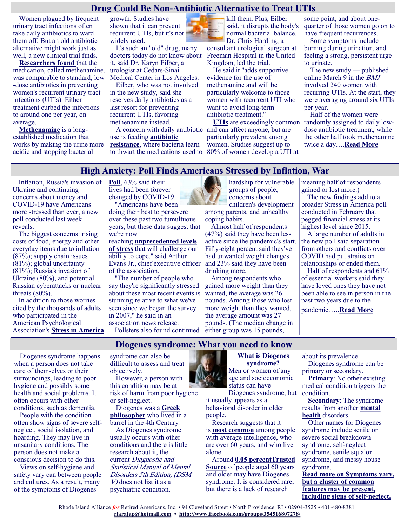## **Drug Could Be Non-Antibiotic Alternative to Treat UTIs**

Women plagued by frequent urinary tract infections often take daily antibiotics to ward them off. But an old antibiotic alternative might work just as well, a new clinical trial finds.

**[Researchers found](https://www.bmj.com/content/376/bmj-2021-0068229)** that the medication, called methenamine, was comparable to standard, low -dose antibiotics in preventing women's recurrent urinary tract infections (UTIs). Either treatment curbed the infections to around one per year, on average.

**[Methenamine](https://www.mayoclinic.org/drugs-supplements/methenamine-oral-route/side-effects/drg-20064676?p=1)** is a longestablished medication that works by making the urine more acidic and stopping bacterial

growth. Studies have shown that it can prevent recurrent UTIs, but it's not widely used.

It's such an "old" drug, many doctors today do not know about it, said Dr. Karyn Eilber, a urologist at Cedars-Sinai Medical Center in Los Angeles.

Eilber, who was not involved in the new study, said she reserves daily antibiotics as a last resort for preventing recurrent UTIs, favoring methenamine instead.

A concern with daily antibiotic use is feeding **[antibiotic](https://www.cdc.gov/drugresistance/about.html)  [resistance](https://www.cdc.gov/drugresistance/about.html)**, where bacteria learn to thwart the medications used to kill them. Plus, Eilber said, it disrupts the body's normal bacterial balance. Dr. Chris Harding, a

consultant urological surgeon at Freeman Hospital in the United Kingdom, led the trial.

He said it "adds supportive evidence for the use of methenamine and will be particularly welcome to those women with recurrent UTI who want to avoid long-term antibiotic treatment."

**[UTIs](https://www.mayoclinic.org/diseases-conditions/urinary-tract-infection/symptoms-causes/syc-20353447)** are exceedingly common and can affect anyone, but are particularly prevalent among women. Studies suggest up to 80% of women develop a UTI at

some point, and about onequarter of those women go on to have frequent recurrences.

Some symptoms include burning during urination, and feeling a strong, persistent urge to urinate.

The new study — published online March 9 in the *[BMJ](https://www.bmj.com/content/376/bmj-2021-0068229)*involved 240 women with recurring UTIs. At the start, they were averaging around six UTIs per year.

Half of the women were randomly assigned to daily lowdose antibiotic treatment, while the other half took methenamine twice a day….**[Read More](https://consumer.healthday.com/3-10-a-non-antibiotic-alternative-to-treat-utis-2656862443.html)**

#### **High Anxiety: Poll Finds Americans Stressed by Inflation, War**

Inflation, Russia's invasion of Ukraine and continuing concerns about money and COVID-19 have Americans more stressed than ever, a new poll conducted last week reveals.

The biggest concerns: rising costs of food, energy and other everyday items due to inflation (87%); supply chain issues (81%); global uncertainty (81%); Russia's invasion of Ukraine (80%), and potential Russian cyberattacks or nuclear threats  $(80\%)$ .

In addition to those worries cited by the thousands of adults who participated in the American Psychological Association's **[Stress in America](https://www.apa.org/news/press/releases/stress/2022/march-2022-survival-mode)**  **[Poll](https://www.apa.org/news/press/releases/stress/2022/march-2022-survival-mode)**, 63% said their lives had been forever changed by COVID-19.

"Americans have been doing their best to persevere over these past two tumultuous years, but these data suggest that we're now

reaching **[unprecedented levels](https://www.stress.org/)  [of stress](https://www.stress.org/)** that will challenge our ability to cope," said Arthur Evans Jr., chief executive officer of the association.

"The number of people who say they're significantly stressed about these most recent events is stunning relative to what we've seen since we began the survey in 2007," he said in an association news release. Pollsters also found continued



hardship for vulnerable groups of people, concerns about

children's development among parents, and unhealthy coping habits.

Almost half of respondents (47%) said they have been less active since the pandemic's start. Fifty-eight percent said they've had unwanted weight changes and 23% said they have been drinking more.

Among respondents who gained more weight than they wanted, the average was 26 pounds. Among those who lost more weight than they wanted, the average amount was 27 pounds. (The median change in either group was 15 pounds,

meaning half of respondents gained or lost more.)

The new findings add to a broader Stress in America poll conducted in February that pegged financial stress at its highest level since 2015.

A large number of adults in the new poll said separation from others and conflicts over COVID had put strains on relationships or ended them.

Half of respondents and 61% of essential workers said they have loved ones they have not been able to see in person in the past two years due to the pandemic. ….**[Read More](https://consumer.healthday.com/b-3-11-high-anxiety-poll-finds-americans-stressed-by-inflation-war-2656909717.html)**

## **Diogenes syndrome: What you need to know**

Diogenes syndrome happens when a person does not take care of themselves or their surroundings, leading to poor hygiene and possibly some health and social problems. It often occurs with other conditions, such as dementia.

People with the condition often show signs of severe selfneglect, social isolation, and hoarding. They may live in unsanitary conditions. The person does not make a conscious decision to do this.

Views on self-hygiene and safety vary can between people and cultures. As a result, many of the symptoms of Diogenes

syndrome can also be difficult to assess and treat objectively.

However, a person with this condition may be at risk of harm from poor hygiene or self-neglect.

Diogenes was a **[Greek](https://ajp.psychiatryonline.org/doi/full/10.1176/appi.ajp-rj.2017.120804)  [philosopher](https://ajp.psychiatryonline.org/doi/full/10.1176/appi.ajp-rj.2017.120804)** who lived in a barrel in the 4th Century.

As Diogenes syndrome usually occurs with other conditions and there is little research about it, the current Diagnostic and Statistical Manual of Mental Disorders 5th Edition, (DSM V) does not list it as a psychiatric condition.

#### **What is Diogenes syndrome?** Men or women of any age and socioeconomic

status can have Diogenes syndrome, but

it usually appears as a behavioral disorder in older people.

Research suggests that it is **[most common](http://www.jpad.com.pk/index.php/jpad/article/view/114)** among people with average intelligence, who are over 60 years, and who live alone.

Around **[0.05 percentTrusted](https://www.ncbi.nlm.nih.gov/pmc/articles/PMC3553571/)  [Source](https://www.ncbi.nlm.nih.gov/pmc/articles/PMC3553571/)** of people aged 60 years and older may have Diogenes syndrome. It is considered rare, but there is a lack of research

about its prevalence.

Diogenes syndrome can be primary or secondary.

**Primary**: No other existing medical condition triggers the condition.

**Secondary**: The syndrome results from another **[mental](https://www.medicalnewstoday.com/articles/154543.php)  [health](https://www.medicalnewstoday.com/articles/154543.php)** disorders.

Other names for Diogenes syndrome include senile or severe social breakdown syndrome, self-neglect syndrome, senile squalor syndrome, and messy house syndrome. **[Read more on Symptoms vary,](https://www.medicalnewstoday.com/articles/314595#symptoms)** 

**[but a cluster of common](https://www.medicalnewstoday.com/articles/314595#symptoms)  [features may be present,](https://www.medicalnewstoday.com/articles/314595#symptoms)  [including signs of self](https://www.medicalnewstoday.com/articles/314595#symptoms)-neglect.**